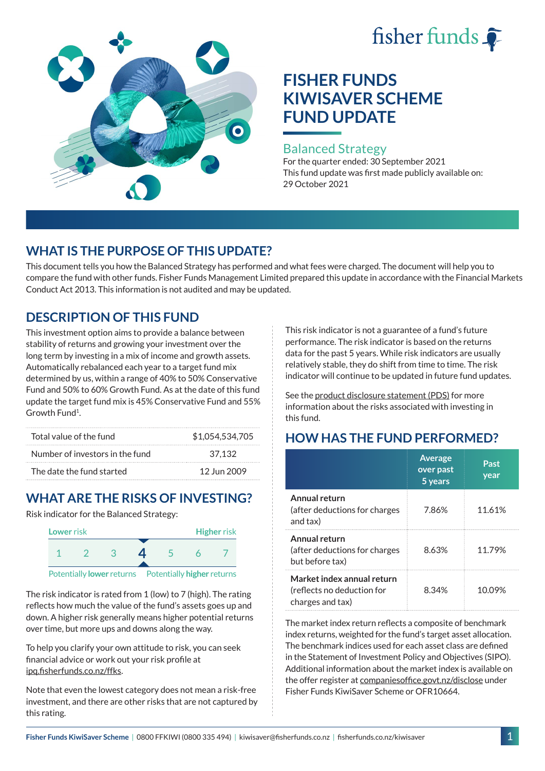# fisher funds



# **FISHER FUNDS KIWISAVER SCHEME FUND UPDATE**

#### Balanced Strategy

For the quarter ended: 30 September 2021 This fund update was first made publicly available on: 29 October 2021

# **WHAT IS THE PURPOSE OF THIS UPDATE?**

This document tells you how the Balanced Strategy has performed and what fees were charged. The document will help you to compare the fund with other funds. Fisher Funds Management Limited prepared this update in accordance with the Financial Markets Conduct Act 2013. This information is not audited and may be updated.

# **DESCRIPTION OF THIS FUND**

This investment option aims to provide a balance between stability of returns and growing your investment over the long term by investing in a mix of income and growth assets. Automatically rebalanced each year to a target fund mix determined by us, within a range of 40% to 50% Conservative Fund and 50% to 60% Growth Fund. As at the date of this fund update the target fund mix is 45% Conservative Fund and 55% Growth Fund<sup>1</sup>.

| Total value of the fund         | \$1,054,534,705 |
|---------------------------------|-----------------|
| Number of investors in the fund | 37.132          |
| The date the fund started       | 12 Jun 2009     |

# **WHAT ARE THE RISKS OF INVESTING?**

Risk indicator for the Balanced Strategy:



The risk indicator is rated from 1 (low) to 7 (high). The rating reflects how much the value of the fund's assets goes up and down. A higher risk generally means higher potential returns over time, but more ups and downs along the way.

To help you clarify your own attitude to risk, you can seek financial advice or work out your risk profile at [ipq.fisherfunds.co.nz/ffks](https://ipq.fisherfunds.co.nz/ffks).

Note that even the lowest category does not mean a risk-free investment, and there are other risks that are not captured by this rating.

This risk indicator is not a guarantee of a fund's future performance. The risk indicator is based on the returns data for the past 5 years. While risk indicators are usually relatively stable, they do shift from time to time. The risk indicator will continue to be updated in future fund updates.

See the [product disclosure statement \(PDS\)](https://fisherfunds.co.nz/assets/PDS/Fisher-Funds-KiwiSaver-Scheme-PDS.pdf) for more information about the risks associated with investing in this fund.

# **HOW HAS THE FUND PERFORMED?**

|                                                                              | <b>Average</b><br>over past<br>5 years | Past<br>year |
|------------------------------------------------------------------------------|----------------------------------------|--------------|
| Annual return<br>(after deductions for charges<br>and tax)                   | 7.86%                                  | 11.61%       |
| Annual return<br>(after deductions for charges<br>but before tax)            | 8.63%                                  | 11.79%       |
| Market index annual return<br>(reflects no deduction for<br>charges and tax) | 8.34%                                  | 10.09%       |

The market index return reflects a composite of benchmark index returns, weighted for the fund's target asset allocation. The benchmark indices used for each asset class are defined in the Statement of Investment Policy and Objectives (SIPO). Additional information about the market index is available on the offer register at [companiesoffice.govt.nz/disclose](http://companiesoffice.govt.nz/disclose) under Fisher Funds KiwiSaver Scheme or OFR10664.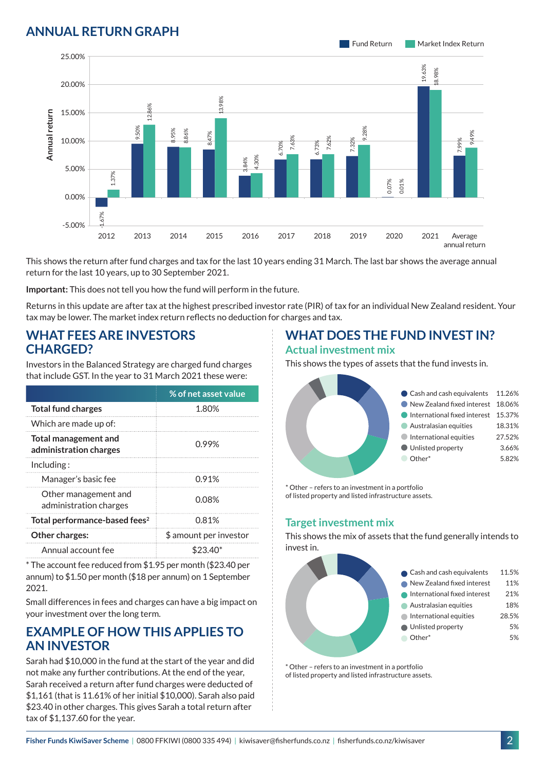## **ANNUAL RETURN GRAPH**



This shows the return after fund charges and tax for the last 10 years ending 31 March. The last bar shows the average annual return for the last 10 years, up to 30 September 2021.

**Important:** This does not tell you how the fund will perform in the future.

Returns in this update are after tax at the highest prescribed investor rate (PIR) of tax for an individual New Zealand resident. Your tax may be lower. The market index return reflects no deduction for charges and tax.

#### **WHAT FEES ARE INVESTORS CHARGED?**

Investors in the Balanced Strategy are charged fund charges that include GST. In the year to 31 March 2021 these were:

|                                                       | % of net asset value   |  |
|-------------------------------------------------------|------------------------|--|
| <b>Total fund charges</b>                             | 1.80%                  |  |
| Which are made up of:                                 |                        |  |
| <b>Total management and</b><br>administration charges | 0.99%                  |  |
| Inding:                                               |                        |  |
| Manager's basic fee                                   | 0.91%                  |  |
| Other management and<br>administration charges        | 0.08%                  |  |
| Total performance-based fees <sup>2</sup>             | 0.81%                  |  |
| <b>Other charges:</b>                                 | \$ amount per investor |  |
| Annual account fee                                    | \$23.40*               |  |

\* The account fee reduced from \$1.95 per month (\$23.40 per annum) to \$1.50 per month (\$18 per annum) on 1 September 2021.

Small differences in fees and charges can have a big impact on your investment over the long term.

#### **EXAMPLE OF HOW THIS APPLIES TO AN INVESTOR**

Sarah had \$10,000 in the fund at the start of the year and did not make any further contributions. At the end of the year, Sarah received a return after fund charges were deducted of \$1,161 (that is 11.61% of her initial \$10,000). Sarah also paid \$23.40 in other charges. This gives Sarah a total return after tax of \$1,137.60 for the year.

# **WHAT DOES THE FUND INVEST IN?**

#### **Actual investment mix**

This shows the types of assets that the fund invests in.



\* Other – refers to an investment in a portfolio of listed property and listed infrastructure assets.

#### **Target investment mix**

This shows the mix of assets that the fund generally intends to invest in.



\* Other – refers to an investment in a portfolio of listed property and listed infrastructure assets.